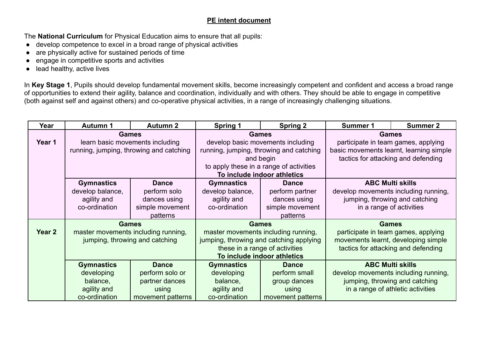## **PE intent document**

The **National Curriculum** for Physical Education aims to ensure that all pupils:

- develop competence to excel in a broad range of physical activities
- are physically active for sustained periods of time
- engage in competitive sports and activities
- lead healthy, active lives

In **Key Stage 1**, Pupils should develop fundamental movement skills, become increasingly competent and confident and access a broad range of opportunities to extend their agility, balance and coordination, individually and with others. They should be able to engage in competitive (both against self and against others) and co-operative physical activities, in a range of increasingly challenging situations.

| Year              | <b>Autumn 1</b>                 | <b>Autumn 2</b>                         | <b>Spring 1</b>                         | <b>Spring 2</b>                         | <b>Summer 1</b>                      | <b>Summer 2</b>                         |  |
|-------------------|---------------------------------|-----------------------------------------|-----------------------------------------|-----------------------------------------|--------------------------------------|-----------------------------------------|--|
|                   | <b>Games</b>                    |                                         | <b>Games</b>                            |                                         | <b>Games</b>                         |                                         |  |
| Year 1            | learn basic movements including |                                         | develop basic movements including       |                                         | participate in team games, applying  |                                         |  |
|                   |                                 | running, jumping, throwing and catching |                                         | running, jumping, throwing and catching |                                      | basic movements learnt, learning simple |  |
|                   |                                 |                                         | and begin                               |                                         | tactics for attacking and defending  |                                         |  |
|                   |                                 |                                         | to apply these in a range of activities |                                         |                                      |                                         |  |
|                   |                                 |                                         | To include indoor athletics             |                                         |                                      |                                         |  |
|                   | <b>Gymnastics</b>               | <b>Dance</b>                            | <b>Gymnastics</b>                       | <b>Dance</b>                            | <b>ABC Multi skills</b>              |                                         |  |
|                   | develop balance,                | perform solo                            | develop balance,                        | perform partner                         | develop movements including running, |                                         |  |
|                   | agility and                     | dances using                            | agility and                             | dances using                            | jumping, throwing and catching       |                                         |  |
|                   | co-ordination                   | simple movement                         | co-ordination                           | simple movement                         | in a range of activities             |                                         |  |
|                   |                                 | patterns                                |                                         | patterns                                |                                      |                                         |  |
|                   | <b>Games</b>                    |                                         | <b>Games</b>                            |                                         | <b>Games</b>                         |                                         |  |
| Year <sub>2</sub> |                                 | master movements including running,     | master movements including running,     |                                         | participate in team games, applying  |                                         |  |
|                   |                                 | jumping, throwing and catching          |                                         | jumping, throwing and catching applying |                                      | movements learnt, developing simple     |  |
|                   |                                 |                                         | these in a range of activities          |                                         | tactics for attacking and defending  |                                         |  |
|                   |                                 |                                         | To include indoor athletics             |                                         |                                      |                                         |  |
|                   | <b>Gymnastics</b>               | <b>Dance</b>                            | <b>Gymnastics</b>                       | <b>Dance</b>                            | <b>ABC Multi skills</b>              |                                         |  |
|                   | developing                      | perform solo or                         | developing                              | perform small                           | develop movements including running, |                                         |  |
|                   | balance,                        | partner dances                          | balance,                                | group dances                            | jumping, throwing and catching       |                                         |  |
|                   | agility and                     | using                                   | agility and                             | using                                   | in a range of athletic activities    |                                         |  |
|                   | co-ordination                   | movement patterns                       | co-ordination                           | movement patterns                       |                                      |                                         |  |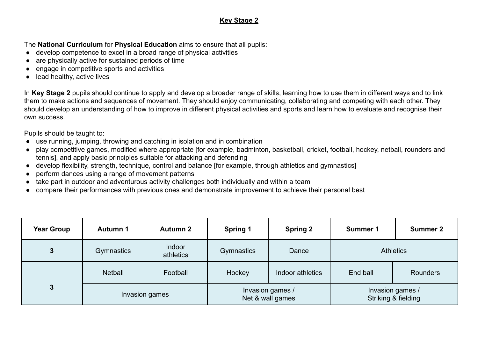## **Key Stage 2**

The **National Curriculum** for **Physical Education** aims to ensure that all pupils:

- develop competence to excel in a broad range of physical activities
- are physically active for sustained periods of time
- engage in competitive sports and activities
- lead healthy, active lives

In **Key Stage 2** pupils should continue to apply and develop a broader range of skills, learning how to use them in different ways and to link them to make actions and sequences of movement. They should enjoy communicating, collaborating and competing with each other. They should develop an understanding of how to improve in different physical activities and sports and learn how to evaluate and recognise their own success.

Pupils should be taught to:

- use running, jumping, throwing and catching in isolation and in combination
- play competitive games, modified where appropriate [for example, badminton, basketball, cricket, football, hockey, netball, rounders and tennis], and apply basic principles suitable for attacking and defending
- develop flexibility, strength, technique, control and balance [for example, through athletics and gymnastics]
- perform dances using a range of movement patterns
- take part in outdoor and adventurous activity challenges both individually and within a team
- compare their performances with previous ones and demonstrate improvement to achieve their personal best

| <b>Year Group</b> | Autumn 1       | <b>Autumn 2</b>     | <b>Spring 1</b>                      | <b>Spring 2</b>  | Summer 1                                | <b>Summer 2</b> |
|-------------------|----------------|---------------------|--------------------------------------|------------------|-----------------------------------------|-----------------|
| $\mathbf{3}$      | Gymnastics     | Indoor<br>athletics | Gymnastics                           | Dance            | <b>Athletics</b>                        |                 |
|                   | <b>Netball</b> | Football            | Hockey                               | Indoor athletics | End ball                                | Rounders        |
| 3                 | Invasion games |                     | Invasion games /<br>Net & wall games |                  | Invasion games /<br>Striking & fielding |                 |